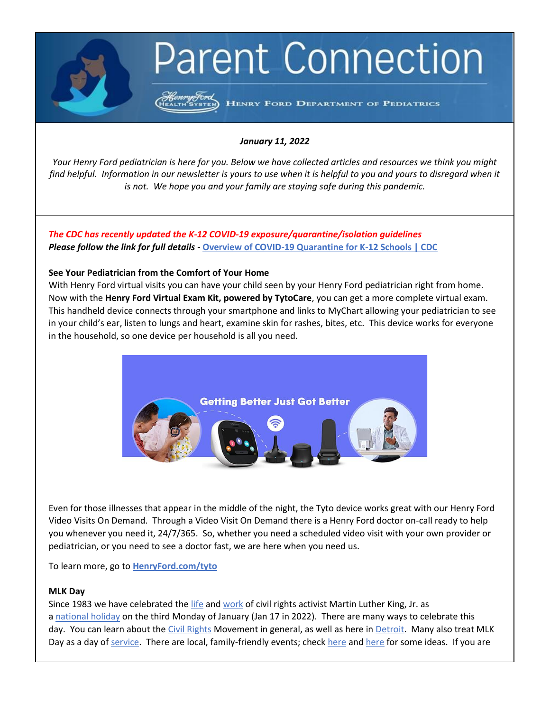# **Parent Connection**

HENRY FORD DEPARTMENT OF PEDIATRICS

#### *January 11, 2022*

*Your Henry Ford pediatrician is here for you. Below we have collected articles and resources we think you might find helpful. Information in our newsletter is yours to use when it is helpful to you and yours to disregard when it is not. We hope you and your family are staying safe during this pandemic.*

*The CDC has recently updated the K-12 COVID-19 exposure/quarantine/isolation guidelines Please follow the link for full details* **- [Overview of COVID-19 Quarantine for K-12 Schools | CDC](https://www.cdc.gov/coronavirus/2019-ncov/community/schools-childcare/k-12-contact-tracing/about-quarantine.html)**

## **See Your Pediatrician from the Comfort of Your Home**

With Henry Ford virtual visits you can have your child seen by your Henry Ford pediatrician right from home. Now with the **Henry Ford Virtual Exam Kit, powered by TytoCare**, you can get a more complete virtual exam. This handheld device connects through your smartphone and links to MyChart allowing your pediatrician to see in your child's ear, listen to lungs and heart, examine skin for rashes, bites, etc. This device works for everyone in the household, so one device per household is all you need.



Even for those illnesses that appear in the middle of the night, the Tyto device works great with our Henry Ford Video Visits On Demand. Through a Video Visit On Demand there is a Henry Ford doctor on-call ready to help you whenever you need it, 24/7/365. So, whether you need a scheduled video visit with your own provider or pediatrician, or you need to see a doctor fast, we are here when you need us.

To learn more, go to **[HenryFord.com/tyto](https://www.henryford.com/services/virtual-care/tyto?utm_campaign=virtualcare_tyto_sys&utm_source=Newsletter&utm_medium=email&utm_content=pediatrician-at-home)**

## **MLK Day**

Since 1983 we have celebrated the [life](https://www.biography.com/activist/martin-luther-king-jr) and [work](https://biography.yourdictionary.com/articles/martin-luther-king-progress-civil-rights-movement.html) of civil rights activist Martin Luther King, Jr. as a [national](https://kinginstitute.stanford.edu/encyclopedia/king-national-holiday) holiday on the third Monday of January (Jan 17 in 2022). There are many ways to celebrate this day. You can learn about the [Civil Rights](https://www.britannica.com/event/American-civil-rights-movement) Movement in general, as well as here in [Detroit.](https://riseupdetroit.org/chapters/chapter-3/part-1/the-national-civil-rights-movement-in-detroit/) Many also treat MLK Day as a day of [service.](https://americorps.gov/newsroom/events/mlk-day) T[here](https://www.oaklandcountymoms.com/martin-luther-king-day-events-33522/) are local, family-friendly events; check here and here for some ideas. If you are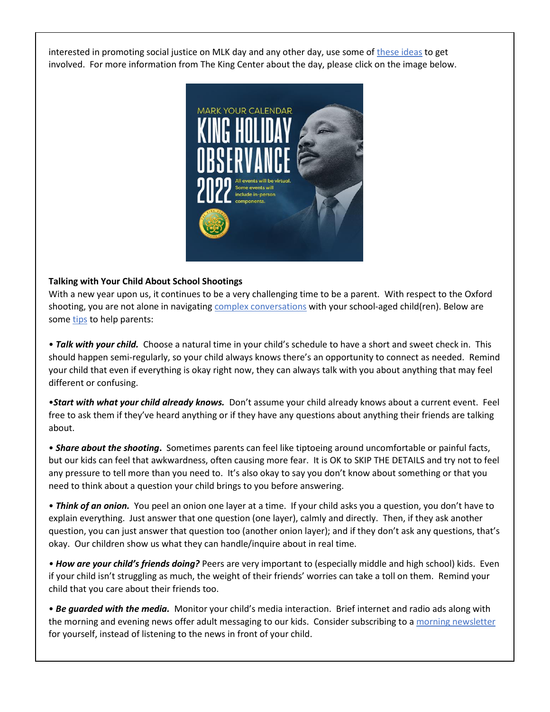interested in promoting social justice on MLK day and any other day, use some of [these ideas](https://www.mindfood.com/article/promote-social-justice/) to get involved. For more information from The King Center about the day, please click on the image below.



## **Talking with Your Child About School Shootings**

With a new year upon us, it continues to be a very challenging time to be a parent. With respect to the Oxford shooting, you are not alone in navigating [complex conversations](https://www.nctsn.org/sites/default/files/resources/parents_guidelines_for_helping_youth_after_the_recent_shooting.pdf) with your school-aged child(ren). Below are some [tips](https://www.nctsn.org/sites/default/files/resources/talking_to_children_about_the_shooting.pdf) to help parents:

• *Talk with your child.* Choose a natural time in your child's schedule to have a short and sweet check in. This should happen semi-regularly, so your child always knows there's an opportunity to connect as needed. Remind your child that even if everything is okay right now, they can always talk with you about anything that may feel different or confusing.

•*Start with what your child already knows.* Don't assume your child already knows about a current event. Feel free to ask them if they've heard anything or if they have any questions about anything their friends are talking about.

• *Share about the shooting***.** Sometimes parents can feel like tiptoeing around uncomfortable or painful facts, but our kids can feel that awkwardness, often causing more fear. It is OK to SKIP THE DETAILS and try not to feel any pressure to tell more than you need to. It's also okay to say you don't know about something or that you need to think about a question your child brings to you before answering.

• *Think of an onion.* You peel an onion one layer at a time. If your child asks you a question, you don't have to explain everything. Just answer that one question (one layer), calmly and directly. Then, if they ask another question, you can just answer that question too (another onion layer); and if they don't ask any questions, that's okay. Our children show us what they can handle/inquire about in real time.

*• How are your child's friends doing?* Peers are very important to (especially middle and high school) kids. Even if your child isn't struggling as much, the weight of their friends' worries can take a toll on them. Remind your child that you care about their friends too.

• *Be guarded with the media.* Monitor your child's media interaction. Brief internet and radio ads along with the morning and evening news offer adult messaging to our kids. Consider subscribing to [a morning newsletter](https://www.theskimm.com/daily-skimm?utm_source=google&utm_medium=cpc&utm_campaign=search_b_newsletters&utm_content=133005890808&utm_term=&gclid=Cj0KCQiA5aWOBhDMARIsAIXLlkfYru5-KQ952FkhTkO-Wf94lMD-xqaVOR47gIPAFqr3IIzHvGDVaF0aAlHWEALw_wcB) for yourself, instead of listening to the news in front of your child.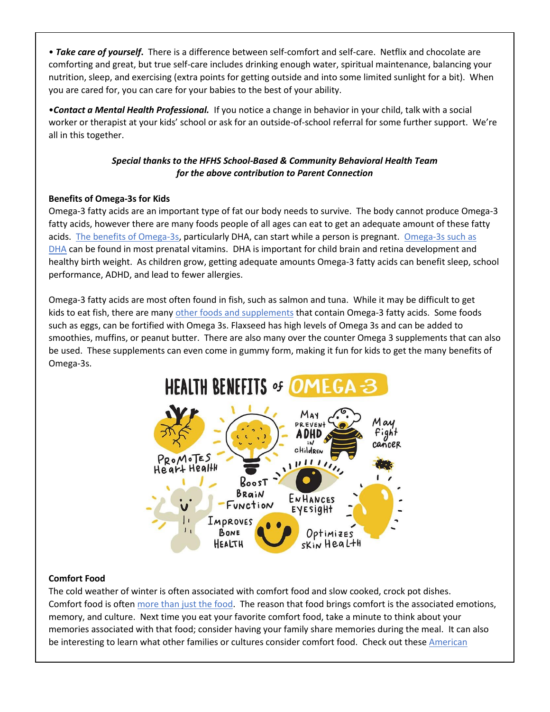• *Take care of yourself***.** There is a difference between self-comfort and self-care. Netflix and chocolate are comforting and great, but true self-care includes drinking enough water, spiritual maintenance, balancing your nutrition, sleep, and exercising (extra points for getting outside and into some limited sunlight for a bit). When you are cared for, you can care for your babies to the best of your ability.

•*Contact a Mental Health Professional.* If you notice a change in behavior in your child, talk with a social worker or therapist at your kids' school or ask for an outside-of-school referral for some further support. We're all in this together.

# *Special thanks to the HFHS School-Based & Community Behavioral Health Team for the above contribution to Parent Connection*

## **Benefits of Omega-3s for Kids**

Omega-3 fatty acids are an important type of fat our body needs to survive. The body cannot produce Omega-3 fatty acids, however there are many foods people of all ages can eat to get an adequate amount of these fatty acids. [The benefits of Omega-3s,](https://www.medicalnewstoday.com/articles/omega-3-for-kids#side-effects) particularly DHA, can start while a person is pregnant. [Omega-3s such as](https://americanpregnancy.org/healthy-pregnancy/pregnancy-health-wellness/omega-3-fish-oil-and-pregnancy/)  [DHA](https://americanpregnancy.org/healthy-pregnancy/pregnancy-health-wellness/omega-3-fish-oil-and-pregnancy/) can be found in most prenatal vitamins. DHA is important for child brain and retina development and healthy birth weight. As children grow, getting adequate amounts Omega-3 fatty acids can benefit sleep, school performance, ADHD, and lead to fewer allergies.

Omega-3 fatty acids are most often found in fish, such as salmon and tuna. While it may be difficult to get kids to eat fish, there are many [other foods and supplements](https://www.eatright.org/food/vitamins-and-supplements/types-of-vitamins-and-nutrients/do-kids-need-omega-3-fats) that contain Omega-3 fatty acids. Some foods such as eggs, can be fortified with Omega 3s. Flaxseed has high levels of Omega 3s and can be added to smoothies, muffins, or peanut butter. There are also many over the counter Omega 3 supplements that can also be used. These supplements can even come in gummy form, making it fun for kids to get the many benefits of Omega-3s.



# **Comfort Food**

The cold weather of winter is often associated with comfort food and slow cooked, crock pot dishes. Comfort food is often more [than just the food.](https://sites.uab.edu/humanrights/2019/02/25/the-importance-of-comfort-food/) The reason that food brings comfort is the associated emotions, memory, and culture. Next time you eat your favorite comfort food, take a minute to think about your memories associated with that food; consider having your family share memories during the meal. It can also be interesting to learn what other families or cultures consider comfort food. Check out these American